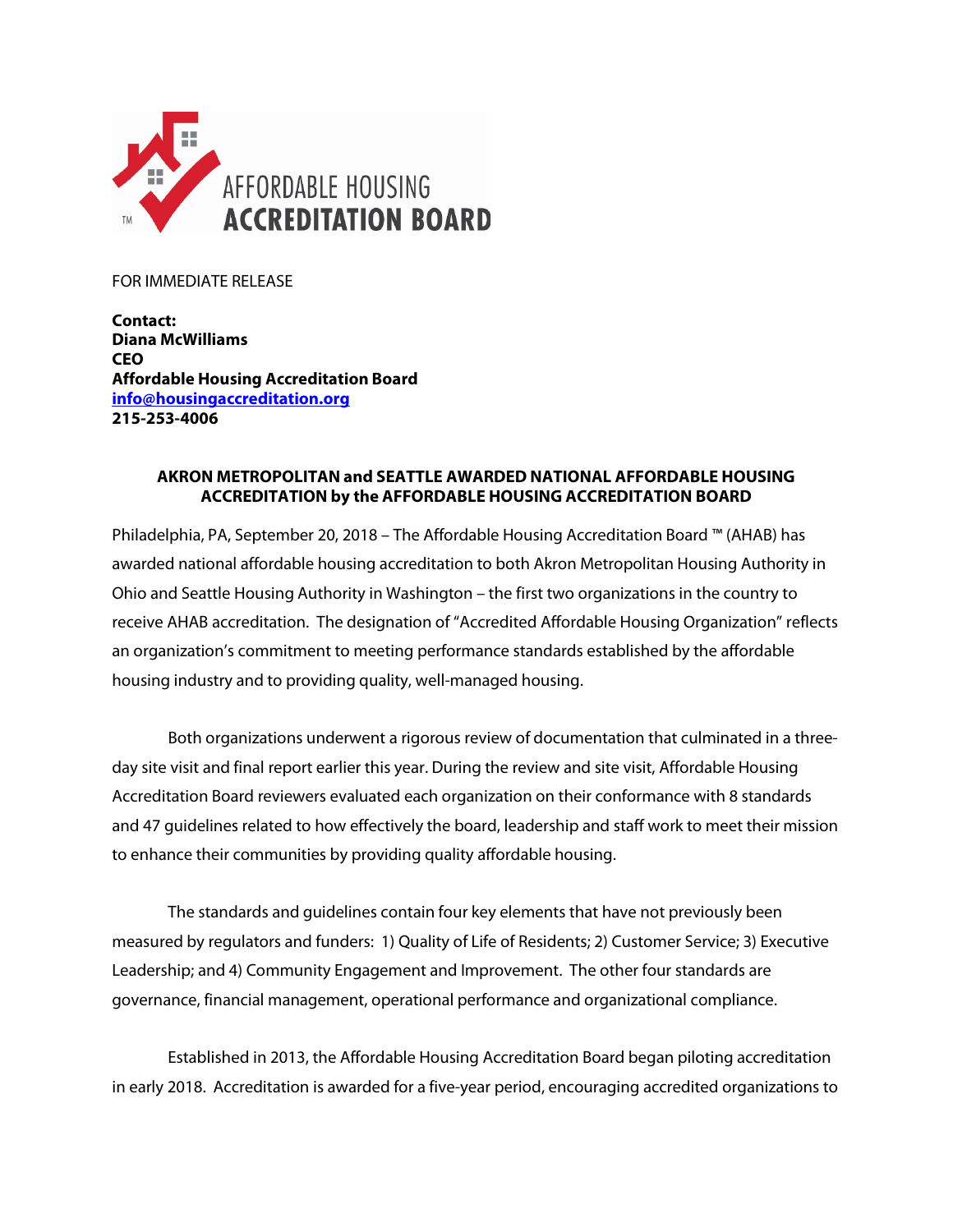

FOR IMMEDIATE RELEASE

**Contact: Diana McWilliams CEO Affordable Housing Accreditation Board [info@housingaccreditation.org](mailto:info@housingaccreditation.org) 215-253-4006**

## **AKRON METROPOLITAN and SEATTLE AWARDED NATIONAL AFFORDABLE HOUSING ACCREDITATION by the AFFORDABLE HOUSING ACCREDITATION BOARD**

Philadelphia, PA, September 20, 2018 – The Affordable Housing Accreditation Board ™ (AHAB) has awarded national affordable housing accreditation to both Akron Metropolitan Housing Authority in Ohio and Seattle Housing Authority in Washington – the first two organizations in the country to receive AHAB accreditation. The designation of "Accredited Affordable Housing Organization" reflects an organization's commitment to meeting performance standards established by the affordable housing industry and to providing quality, well-managed housing.

Both organizations underwent a rigorous review of documentation that culminated in a threeday site visit and final report earlier this year. During the review and site visit, Affordable Housing Accreditation Board reviewers evaluated each organization on their conformance with 8 standards and 47 guidelines related to how effectively the board, leadership and staff work to meet their mission to enhance their communities by providing quality affordable housing.

The standards and guidelines contain four key elements that have not previously been measured by regulators and funders: 1) Quality of Life of Residents; 2) Customer Service; 3) Executive Leadership; and 4) Community Engagement and Improvement. The other four standards are governance, financial management, operational performance and organizational compliance.

Established in 2013, the Affordable Housing Accreditation Board began piloting accreditation in early 2018. Accreditation is awarded for a five-year period, encouraging accredited organizations to